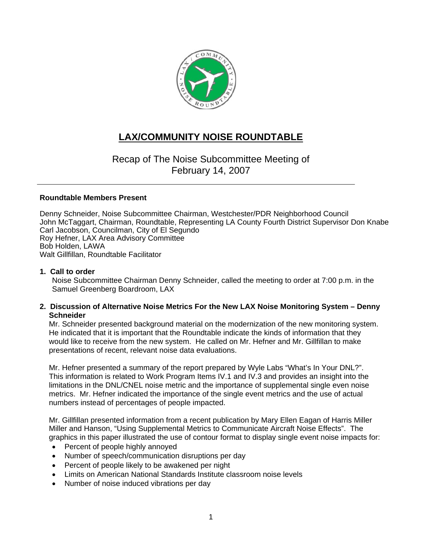

# **LAX/COMMUNITY NOISE ROUNDTABLE**

Recap of The Noise Subcommittee Meeting of February 14, 2007

#### **Roundtable Members Present**

Denny Schneider, Noise Subcommittee Chairman, Westchester/PDR Neighborhood Council John McTaggart, Chairman, Roundtable, Representing LA County Fourth District Supervisor Don Knabe Carl Jacobson, Councilman, City of El Segundo Roy Hefner, LAX Area Advisory Committee Bob Holden, LAWA Walt Gillfillan, Roundtable Facilitator

#### **1. Call to order**

Noise Subcommittee Chairman Denny Schneider, called the meeting to order at 7:00 p.m. in the Samuel Greenberg Boardroom, LAX

#### **2. Discussion of Alternative Noise Metrics For the New LAX Noise Monitoring System – Denny Schneider**

Mr. Schneider presented background material on the modernization of the new monitoring system. He indicated that it is important that the Roundtable indicate the kinds of information that they would like to receive from the new system. He called on Mr. Hefner and Mr. Gillfillan to make presentations of recent, relevant noise data evaluations.

Mr. Hefner presented a summary of the report prepared by Wyle Labs "What's In Your DNL?". This information is related to Work Program Items IV.1 and IV.3 and provides an insight into the limitations in the DNL/CNEL noise metric and the importance of supplemental single even noise metrics. Mr. Hefner indicated the importance of the single event metrics and the use of actual numbers instead of percentages of people impacted.

Mr. Gillfillan presented information from a recent publication by Mary Ellen Eagan of Harris Miller Miller and Hanson, "Using Supplemental Metrics to Communicate Aircraft Noise Effects". The graphics in this paper illustrated the use of contour format to display single event noise impacts for:

- Percent of people highly annoyed
- Number of speech/communication disruptions per day
- Percent of people likely to be awakened per night
- Limits on American National Standards Institute classroom noise levels
- Number of noise induced vibrations per day